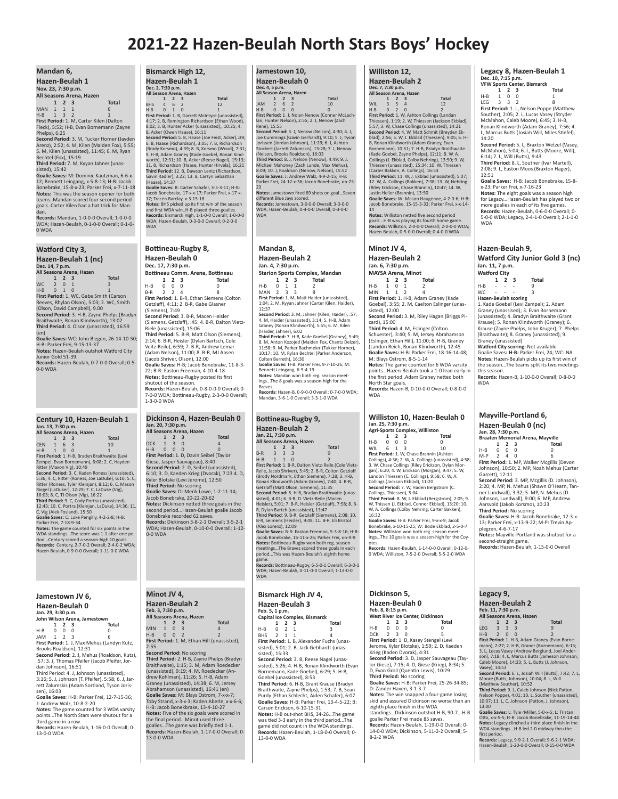## **2021-22 Hazen-Beulah North Stars Boys' Hockey**

| Mandan 6,<br>Hazen-Beulah 1<br>Nov. 23, 7:30 p.m.<br>All Seasons Arena, Hazen<br>$\mathbf{1}$<br>$\overline{2}$<br>3<br><b>Total</b><br>MAN<br>$\mathbf{1}$<br>$\mathbf{1}$<br>$\mathbf{1}$<br>6<br>$H-B$<br>$\mathbf{1}$<br>3<br>$\overline{\phantom{a}}$<br>1<br>First Period: 1. M, Carter Kilen (Dalton<br>Fleck), 5:52; H-B, Evan Bornemann (Zayne<br>Phelps), 6:25<br>Second Period: 3. M, Tucker Horner (Jayden<br>Arenz), 2:52; 4. M, Kilen (Maiden Fox), 5:55;<br>5. M, Kilen (unassisted), 11:45; 6. M, Ryan<br>Bechtel (Fox), 15:19<br>Third Period: 7. M, Kyyan Jahner (unas-<br>sisted), 15:42<br>Goalie Saves: M: Dominic Kautzman, 6-6-x-<br>12; Bennett Leingang, x-5-8-13; H-B: Jacob<br>Bonebrake, 15-8-x-23; Parker Frei, x-7-11-18<br>Notes: This was the season opener for both<br>teamsMandan scored four second period<br>goalsCarter Kilen had a hat trick for Man-<br>dan.<br>Records: Mandan, 1-0-0-0 Overall; 1-0-0-0<br>WDA; Hazen-Beulah, 0-1-0-0 Overall; 0-1-0-<br>0 WDA                                                                                 | Bismarck High 12,<br>Hazen-Beulah 1<br>Dec. 2, 7:30 p.m.<br>All Season Arena, Hazen<br>$\mathbf{1}$<br>$\overline{2}$<br>$\overline{\mathbf{3}}$<br><b>Total</b><br>$\overline{4}$<br>$\overline{\phantom{0}}$<br><b>BHS</b><br>6<br>12<br>$H-B$<br>$\mathbf{0}$<br>1<br>$\mathbf 0$<br>First Period: 1. B, Garrett McIntyre (unassisted),<br>4:17; 2. B, Remington Richardson (Ethan Wood),<br>8:02; 3. B, Hunter Acker (unassisted),, 10:25; 4.<br>B, Acker (Owen Haase), 16:11<br>Second Period: 5. B, Haase (Joe Feist, Acker),:39;<br>6. B, Haase (Richardson), 3:05; 7. B, Richardson<br>(Brady Korsmo), 4:39; 8. B, Korsmo (Wood), 7:31;<br>9. H-B, Adam Graney (Kade Goebel, Ronan Kind-<br>worth), 12:31; 10. B, Acker (Reese Nagel), 15:13;<br>11. B, Richardson (Haase, Hunter Hirvela), 16:21<br>Third Period: 12. B, Dawson Lentz (Richardson,<br>Gavin Radler), 3:22; 13. B, Carsyn Sebastian<br>(Haase), 14:37<br>Goalie Saves: B: Carter Schafer, 3-5-3-11; H-B:<br>Jacob Bonebrake, 17-x-x-17; Parker Frei, x-17-x-<br>17; Tracen Barclay, x-3-15-18<br>Notes: BHS picked up its first win of the season<br>and first WDA winH-B played three goalies.<br>Records: Bismarck High, 1-1-0-0 Overall; 1-0-0-0<br>WDA; Hazen-Beulah, 0-3-0-0 Overall; 0-2-0-0<br><b>WDA</b> |
|-----------------------------------------------------------------------------------------------------------------------------------------------------------------------------------------------------------------------------------------------------------------------------------------------------------------------------------------------------------------------------------------------------------------------------------------------------------------------------------------------------------------------------------------------------------------------------------------------------------------------------------------------------------------------------------------------------------------------------------------------------------------------------------------------------------------------------------------------------------------------------------------------------------------------------------------------------------------------------------------------------------------------------------------------------------------------------------------|------------------------------------------------------------------------------------------------------------------------------------------------------------------------------------------------------------------------------------------------------------------------------------------------------------------------------------------------------------------------------------------------------------------------------------------------------------------------------------------------------------------------------------------------------------------------------------------------------------------------------------------------------------------------------------------------------------------------------------------------------------------------------------------------------------------------------------------------------------------------------------------------------------------------------------------------------------------------------------------------------------------------------------------------------------------------------------------------------------------------------------------------------------------------------------------------------------------------------------------------------------------------------------------|
| <b>Watford City 3,</b><br>Hazen-Beulah 1 (nc)<br>Dec. 14, 7 p.m.<br>All Seasons Arena, Hazen<br>$\mathbf{1}$<br>$\overline{2}$<br>$\overline{\mathbf{3}}$<br><b>Total</b><br>WC<br>$\overline{2}$<br>$\mathbf 0$<br>$\mathbf{1}$<br>3<br>$H-B$<br>$\mathbf 0$<br>$\mathbf{1}$<br>$\mathbf 0$<br>1<br>First Period: 1. WC, Gabe Smith (Carson<br>Reeves, Rhylan Olson), 5:03; 2. WC, Smith<br>(Olson, David Campbell), 9.00<br>Second Period: 3. H-B, Zayne Phelps (Bradyn<br>Braithwaite, Ronan Klindworth), 13:02<br>Third Period: 4. Olson (unassisted), 16:59<br>(en)<br>Goalie Saves: WC: John Blegen, 26-14-10-50;<br>H-B: Parker Frei, 9-15-13-37<br>Notes: Hazen-Beulah outshot Watford City<br>Junior Gold 51-39.<br>Records: Hazen-Beulah, 0-7-0-0 Overall; 0-5-<br>0-0 WDA                                                                                                                                                                                                                                                                                                    | Bottineau-Rugby 8,<br>Hazen-Beulah 0<br>Dec. 17, 7:30 p.m.<br>Bottineau Comm. Arena, Bottineau<br>2 <sub>3</sub><br>1<br>Total<br>0<br>$\mathbf 0$<br>$H-B$<br>$\Omega$<br>$\Omega$<br>B-R<br>2<br>2<br>$\overline{4}$<br>8<br>First Period: 1. B-R, Ethan Siemens (Colton<br>Getzlaff), 4:11; 2. B-R, Gabe Glasner<br>(Siemens), 7:49<br>Second Period: 3. B-R, Macen Heisler<br>(Siemens, Getzlaff), :45: 4. B-R, Dalton Vietz-<br>Riele (unassisted), 15:06<br>Third Period: 5. B-R, Matt Olson (Siemens),<br>2:14; 6. B-R, Heisler (Dylan Bartsch, Cole<br>Veitz-Reile), 6:59; 7. B-R, Andrew Lemar<br>(Adam Nelson), 11:00; 8. B-R, MJ Aasen<br>(Jacob Shriver, Olson), 12:00<br>Goalie Saves: H-B; Jacob Bonebrake, 11-8-3-<br>22; B-R: Easton Freeman, 4-10-4-18<br><b>Notes:</b> Bottineau-Rugby posted its first<br>shutout of the season.<br>Records: Hazen-Beulah, 0-8-0-0-0 Overall; 0-<br>7-0-0 WDA; Bottineau-Rugby, 2-3-0-0 Overall;<br>1-3-0-0 WDA                                                                                                                                                                                                                                                                                                                       |
| Century 10, Hazen-Beulah 1<br>Jan. 13, 7:30 p.m.<br>All Seasons Arena, Hazen<br>$1 \quad 2 \quad 3$<br><b>Total</b><br><b>CEN</b><br>6<br>3<br>10<br>$\mathbf{1}$<br>$H-B$<br>$\mathbf 0$<br>$\mathbf{1}$<br>$\mathbf{0}$<br>1<br>First Period: 1. H-B, Bradyn Braithwaite (Levi<br>Zempel, Evan Bornemann), 6:08; 2. C, Hayden<br>Ritter (Maxon Vig), 10:49<br>Second Period: 3. C, Kaden Roness (unassisted),<br>5:36; 4. C, Ritter (Roness, Joe LaDuke), 6:10; 5. C,<br>Ritter (Roness, Tyler Kleinjan), 8:12; 6. C, Mason<br>Riegel (LaDuker), 12:29; 7. C, LaDuke (Vig),<br>16:03; 8. C, TJ Olson (Vig), 16:22<br>Third Period: 9. C, Cody Portra (unassisted),<br>12:43; 10. C, Portra (Kleinjan, LaDuke), 14:36; 11.<br>C, Vig (Alek Fosland), 15:50<br>Goalie Saves: C: Luke Pengilly, 4-2-2-8; H-B:<br>Parker Frei, 7-18-9-34<br>Notes: The game counted for six points in the<br>WDA standingsThe score was 1-1 after one pe-<br>riodCentury scored a season-high 10 goals.<br>Records: Century, 2-7-0-2 Overall; 2-4-0-2 WDA;<br>Hazen-Beulah, 0-9-0-0 Overall; 1-11-0-0 WDA | Dickinson 4, Hazen-Beulah 0<br>Jan. 20, 7:30 p.m.<br>All Seasons Arena, Hazen<br>$1\quad 2$<br>$\overline{\mathbf{3}}$<br><b>Total</b><br><b>DCK</b><br>$\overline{3}$<br>$\Omega$<br>4<br>$\mathbf{1}$<br>$\mathbf 0$<br>$\mathbf{0}$<br>$\Omega$<br>H-B<br>$\mathbf 0$<br>First Period: 1. D, Davin Seibel (Taylor<br>Giese, Jasper Sauvageau), 8:40<br>Second Period: 2. D, Seibel (unassisted),<br>6:10; 3. D, Kaeden Krieg (Dvorak), 7:23 4. D,<br>Kyler Blotske (Levi Jerome), 12:50<br>Third Period: No scoring<br>Goalie Saves: D: Merik Lowe, 1-2-11-14;<br>Jacob Bonebrake, 20-22-20-62<br>Notes: Dickinson netted three goals in the<br>second periodHazen-Beulah goalie Jacob<br>Bonebrake recorded 62 saves.<br>Records: Dickinson 3-8-2-1 Overall; 3-5-2-1<br>WDA; Hazen-Beulah, 0-10-0-0 Overall; 1-12-<br>0-0 WDA                                                                                                                                                                                                                                                                                                                                                                                                                                                        |
| Jamestown JV 6,<br>Hazen-Beulah 0<br>Jan. 29, 3:30 p.m.<br>John Wilson Arena, Jamestown<br>1<br>2 <sub>3</sub><br><b>Total</b><br>$H-B$<br>0<br>0<br>0<br>0<br>JAM<br>$\mathbf{1}$<br>2<br>3<br>6<br>First Period: 1. J, Max Mehus (Landyn Kutz,<br>Brooks Roaldson), 12:31<br>Second Period: 2. J, Mehus (Roaldson, Kutz),<br>:57; 3. J, Thomas Pfeifer (Jacob Pfeifer, Jor-<br>dan Johnson), 16:51<br>Third Period: 4. J, Johnson (unassisted),<br>3:16; 5. J, Johnson (T. Pfeifer), 5:58; 6. J, Jar-<br>rett Zalumskis (Adam Sortland, Tyson Joris-                                                                                                                                                                                                                                                                                                                                                                                                                                                                                                                                  | Minot JV 4,<br><b>Hazen-Beulah 2</b><br>Feb. 3, 7:30 p.m.<br>All Seasons Arena, Hazen<br>$\mathbf{1}$<br>$\overline{2}$<br><b>Total</b><br>3<br><b>MIN</b><br>$\mathbf{1}$<br>$\mathbf 0$<br>3<br>4<br>H-B<br>0<br>$\mathbf 0$<br>$\overline{2}$<br>$\overline{2}$<br>First Period: 1. M, Ethan Hill (unassisted),<br>2:55<br>Second Period: No scoring<br>Third Period: 2. H-B, Zayne Phelps (Bradyn<br>Braithwaite), 1:15; 3. M, Adam Roedecker<br>(unassisted), 9:19; 4. M, Roedecker (An-<br>drew Kohlman), 11:26; 5. H-B, Adam<br>Graney (unassisted), 14:38; 6. M, Jersey                                                                                                                                                                                                                                                                                                                                                                                                                                                                                                                                                                                                                                                                                                          |

sen), 16:03

13-0-0 WDA

**Goalie Saves:** H-B: Parker Frei, 12-7-15-36; J: Andrew Walz, 10-8-2-20 **Notes:** The game counted for 3 WDA varsity points...The North Stars were shutout for a third game in a row. **Records:** Hazen-Beulah, 1-16-0-0 Overall; 0-

Braithwaite), 1:15; 3. M, Adam Roedecker (unassisted), 9:19; 4. M, Roedecker (An-Adam<br>M. Jersev Graney (unassisted), 14:38; 6. M, Jersey<br>Abrahamson (unassisted), 16:41 (en)<br>**Goalie Save**s: M: Blays Ostrom, 7-x-x-7;<br>Toby Strand, x-3-x-3; Kaden Aberle, x-x-6-6; H-B: Jacob Bonekbrake, 13-4-10-27 **Notes:** Five of the six goals were scored in the final period...Minot used three goalies...The game was briefly tied 1-1. **Records:** Hazen-Beulah, 1-17-0-0 Overall; 0- 13-0-0 WDA

#### **Jamestown 10, Hazen-Beulah <sup>0</sup> Dec. 4, <sup>5</sup> p.m.**

| All Season Arena, Hazen                  |               |                          |                         |                                            |  |
|------------------------------------------|---------------|--------------------------|-------------------------|--------------------------------------------|--|
|                                          |               | $\overline{\phantom{a}}$ | $\overline{\mathbf{3}}$ | <b>Total</b>                               |  |
| <b>IAM</b>                               | $\mathcal{L}$ | 6.                       |                         | 10                                         |  |
| $H - B$                                  | n             | n                        | n                       | n                                          |  |
| First Period: 1. J. Nolan Nenow (Conner) |               |                          |                         |                                            |  |
|                                          |               |                          |                         | lan, Hunter Nelson), 2:55: 2. J. Nenow (7) |  |

First Period: 1. J, Nolan Nenov (Conner Miclach-<br>Tinst Period: 1. J, Nolan Nenov (Conner Miclach-<br>Rene), 15:55<br>Second Period: 3. J, Nenow (Nelson), 4:30; 4. J,<br>Second Period: 3. J, Nenow (Nelson), 4:30; 4. J,<br>Viewson, Broa

different Blue Jays scored.<br>**Records:** Jamestown, 3-0-0-0 Overall; 3-0-0-0<br>WDA; Hazen-Beulah, 0-4-0-0 Overall; 0-3-0-0<br>WDA

#### **Mandan 8, Hazen-Beulah 2 Jan. 4, 7:30 p.m.**

**Starion Sports Complex, Mandan 1 2 3 To**<br>0 **1 1 2** H-B 0 1 1 2<br>MAN 2 3 3 8 MAN 2 3 3<br>**First Period:** 1. M, Matt Haider (unassisted),<br>1:04; 2. M, Kyyan Jahner (Carter Kilen, Haider), 12:37<br>**Second Period:** 3. M, Jahner (Kilen, Haider), :57;<br>4. M, Haider (unassisted), 3:14; 5. H-B, Adam<br>Graney (Ronan Klindworth), 5:55; 6. M, Kilen (Haider, Jahner), 6:02 **Third Period:** 7. H-B, Kade Goebel (Graney), 5:49; 8. M, Anton Kozojed (Maiden Fox, Chantz Delzer), 11:58; 9. M, Parker Bachmeier (Tukker Horner), 10:17; 10. M, Rylan Bechtel (Parker Anderson,<br>Colten Berreth), 16:30<br>Goalie Saves: H-B: Parker Frei, 9-7-10-26; M:<br>Bennett Leingang, 6-9-4-19<br>**Notes:** Mandan won both reg. season meet-<br>Ings...The 8 goals was a season-high

Braves.<br>**Records:** Hazen-B, 0-9-0-0 Overall; 0-7-0-0 WDA;<br>Mandan, 3-6-1-0 Overall; 3-3-1-0 WDA

|                          |                                                    |                |                | Bottineau-Rugby 9,                                                                         |  |  |  |
|--------------------------|----------------------------------------------------|----------------|----------------|--------------------------------------------------------------------------------------------|--|--|--|
| Hazen-Beulah 2           |                                                    |                |                |                                                                                            |  |  |  |
| Jan. 21, 7:30 p.m.       |                                                    |                |                |                                                                                            |  |  |  |
| All Seasons Arena. Hazen |                                                    |                |                |                                                                                            |  |  |  |
|                          | $\mathbf{1}$                                       | $\overline{2}$ | 3              | <b>Total</b>                                                                               |  |  |  |
| $B-R$                    | $\overline{3}$                                     | $\overline{3}$ | $\overline{3}$ | 9                                                                                          |  |  |  |
| $H-B$                    | $\mathbf{1}$                                       | $\mathbf{1}$   | $\Omega$       | $\overline{\phantom{a}}$                                                                   |  |  |  |
|                          |                                                    |                |                | First Period: 1. B-R, Dalton Vietz-Reile (Cole Vietz-                                      |  |  |  |
|                          |                                                    |                |                | Reile, Jacob Shriver), 5:45; 2. B-R, Colton Getzlaff                                       |  |  |  |
|                          |                                                    |                |                | (Brody Nordmark, Ethan Siemens), 7:28: 3, H-B.                                             |  |  |  |
|                          |                                                    |                |                | Ronan Klindworth (Adam Graney), 7:40; 4. B-R,                                              |  |  |  |
|                          |                                                    |                |                | Getzlaff (Matt Olson, Siemens), 11:35                                                      |  |  |  |
|                          |                                                    |                |                | Second Period: 5. H-B. Bradyn Braithwaite (unas-                                           |  |  |  |
|                          |                                                    |                |                | sisted), 4:01; 6. B-R, D. Vietz-Reile (Macen                                               |  |  |  |
|                          |                                                    |                |                | Heisler), 5:01; 7. B-R, Heisler (Getzlaff), 7:58; 8. B-                                    |  |  |  |
|                          |                                                    |                |                | R. Dylan Bartch (unassisted), 13:47<br>Third Period: 9. B-R, Getzlaff (Siemens), 2:08; 10. |  |  |  |
|                          |                                                    |                |                | B-R, Seimens (Heisler), 9:49; 11. B-R, Eli Bristol                                         |  |  |  |
| (Alex Lorenz), 12:09     |                                                    |                |                |                                                                                            |  |  |  |
|                          |                                                    |                |                | Goalie Saves: B-R: Easton Freeman, 5-3-8-16; H-B:                                          |  |  |  |
|                          |                                                    |                |                | Jacob Bonebrake, 15-11-x-26; Parker Frei, x-x-9-9                                          |  |  |  |
|                          |                                                    |                |                | Notes: Bottineau-Rugby won both reg. season                                                |  |  |  |
|                          |                                                    |                |                | meetingsThe Braves scored three goals in each                                              |  |  |  |
|                          |                                                    |                |                | periodThis was Hazen-Beulah's eighth home                                                  |  |  |  |
| game.                    |                                                    |                |                |                                                                                            |  |  |  |
|                          | Records: Bottineau-Rugby, 6-5-0-1 Overall; 6-3-0-1 |                |                |                                                                                            |  |  |  |
|                          |                                                    |                |                | WDA; Hazen-Beulah, 0-11-0-0 Overall; 1-13-0-0                                              |  |  |  |
| <b>WDA</b>               |                                                    |                |                |                                                                                            |  |  |  |
|                          |                                                    |                |                |                                                                                            |  |  |  |
|                          |                                                    |                |                |                                                                                            |  |  |  |
|                          |                                                    |                |                | Bismarck High JV 4,                                                                        |  |  |  |

## **Hazen-Beulah <sup>3</sup> Feb. 5, <sup>1</sup> p.m.**

**Capital Ice Complex, Bismarck 123 Total** H-B 021 3 BHS 2 1 1<br>**First Period:** 1. B, Alexander Fuchs (unas-<br>sisted), 5:01; 2. B, Jack Gebhardt (unassisted), 15:33 **Second Period:** 3. B, Reese Nagel (unassisted), 5:26; 4. H-B, Ronan Klindworth (Evan Bornemann, Kade Goebel), 6:29; 5. H-B, Goebel (unassisted), 8:53 **Third Period:** 6. H-B, Grant Krause (Bradyn<br>Braithwaite, Zayne Phelps), 1:53; 7. B, Sean<br>Purdy (Ethan Schlecht, Aiden Schafer), 6:07 **Goalie Saves:** H-B: Parker Frei, 13-4-5-22; B:

Carson Erickson, 6-10-15-31 **Notes:** H-B out-shot BHS, 34-26...The game was tied 3-3 early in the third period...The game did not count in the WDA standings. **Records:** Hazen-Beulah, 1-18-0-0 Overall; 0- 13-0-0 WDA

#### **Williston 12,**  $Hazen-Beulah<sub>2</sub>$

| Dec. 7. 7:30 D.M.                              |   |                          |   |                |  |  |
|------------------------------------------------|---|--------------------------|---|----------------|--|--|
| All Season Arena, Hazen                        |   |                          |   |                |  |  |
|                                                |   | $\overline{2}$           | 3 | <b>Total</b>   |  |  |
| WII                                            | 3 | $\overline{\phantom{a}}$ | Δ | 12             |  |  |
| $H - B$                                        | n | $\mathcal{P}$            | n | $\mathfrak{p}$ |  |  |
| First Period: 1. W. Ashton Collings (Landan    |   |                          |   |                |  |  |
| Thiessen), 1:19; 2. W, Thiessen (Jackson Ekbl; |   |                          |   |                |  |  |
| 5:57: 3. W. Chase Collings (unassisted), 14:21 |   |                          |   |                |  |  |
| Second Period: 4. W. Matt Schmit (Breyden E    |   |                          |   |                |  |  |

Ekblad),<br>14:21 **Second Period:** 4. W, Matt Schmit (Breyden Ekblad), 2:56; 5. W, J. Ekblad (Thiessen), 9:05; 6. H-<br>B, Ronan Klindworth (Adam Graney, Evan<br>Bornemann), 10:51; 7. H-B, Bradyn Braithwaite<br>(Kade Goebel, Zayne Phelps), 12:11; 8. W, A.<br>Collings (J. Ekblad, Colby Nehring), 13 12. W, A. Collings (Bakken), 7:38; 13. W, Nehring (Riley Erickson, Chase Brannin), 10:47; 14. W, Justin Heller (Brannin), 13:50 **Goalie Saves:** W: Mason Haugenoe, 4-2-0-6; H-B:<br>Jacob Bonebrake, 15-15-3-33; Parker Frei, x-x-14-<br>14

**Notes:** Williston netted five second period<br>goals...H-B was playing its fourth home game.<br>**Records:** Williston, 2-0-0-0 Overall; 2-0-0-0 WDA;<br>Hazen-Beulah, 0-5-0-0 Overall; 0-4-0-0 WDA

#### **Minot JV 4, Hazen-Beulah 2 Jan. 6, 7:30 p.m. MAYSA Arena, Minot**

**123 Total**

H-B 1 0 1<br>MIN 1 1 2 MIN 112 4 **First Period:** 1. H-B, Adam Graney (Kade Goebel), 3:55; 2. M, Caelton Eslinger (unassisted), 12:00 **Second Period:** 3. M, Riley Hagan (Briggs Pi-

card), 15:00 **Third Period:** 4. M, Eslinger (Colton Schuester), 3:40; 5. M, Jersey Abrahamson (Eslinger, Ethan Hill), 11:00; 6. H-B, Graney (Landon Reich, Ronan Klindworth), 12:45 **Goalie Saves:** H-B: Parker Frei, 18-16-14-48; M: Blays Ostrom, 8-5-1-14 **Notes:** The game counted for 6 WDA varsity points...Hazen-Beulah took a 1-0 lead early in the first period..Adam Graney netted both North Star goals. **Records:** Hazen-B, 0-10-0-0 Overall; 0-8-0-0

**WDA** 

## **Williston 10, Hazen-Beulah <sup>0</sup> Jan. 25, 7:30 p.m.**

| Agri-Sports Complex. Williston                    |              |                |                         |                                                        |  |
|---------------------------------------------------|--------------|----------------|-------------------------|--------------------------------------------------------|--|
|                                                   | $\mathbf{1}$ | $\overline{2}$ | -3                      | Total                                                  |  |
| $H-B$                                             | $\Omega$     | 0              | $\Omega$                | Ω                                                      |  |
| WIL                                               | 6            | 1              | $\overline{\mathbf{z}}$ | 10                                                     |  |
|                                                   |              |                |                         | First Period: 1. W. Chase Brannin (Ashton              |  |
|                                                   |              |                |                         | Collings), 4:36; 2. W, A. Collings (unassisted), 4:58; |  |
|                                                   |              |                |                         | 3. W. Chase Collings (Riley Erickson, Dylan Mor-       |  |
|                                                   |              |                |                         | gan), 6:20: 4. W. Erickson (Morgan), 9:47: 5. W.       |  |
|                                                   |              |                |                         | Landon Thiessen (C. Collings), 9:58; 6. W, A.          |  |
|                                                   |              |                |                         | Collings (Jackson Ekblad), 11:20                       |  |
|                                                   |              |                |                         | Second Period: 7. W. Haden Bergstrom (C.               |  |
| Collings, Thiessen), 5:04                         |              |                |                         |                                                        |  |
|                                                   |              |                |                         | Third Period: 8. W, J. Ekblad (Bergstrom), 2:05; 9.    |  |
| W. Thissen (J. Ekblad, Conner Ekblad), 13:20: 10. |              |                |                         |                                                        |  |
| W, A. Collings (Colby Nehring, Carter Bakken),    |              |                |                         |                                                        |  |
| 16:32                                             |              |                |                         |                                                        |  |
| Goalie Saves: H-B: Parker Frei, 9-x-x-9; Jacob    |              |                |                         |                                                        |  |

Bonebrake, x-10-15-25; W: Bode Ekblad, 2-5-0-7 **Notes:** Williston won both reg. season meet-ings...The 10 goals was a season-high for the Coy-

otes.<br>**Records:** Hazen-Beulah, 1-14-0-0 Overall; 0-12-0-<br>0 WDA; Williston, 7-5-2-0 Overall; 5-5-2-0 WDA

#### **Dickinson 5,**

## **Hazen-Beulah <sup>0</sup> Feb. 8, 8:15 p.m.**

**West River Ice Center, Dickinson 123 Total** H-B 000 0 DCK 230 5 **First Period:** 1. D, Kasey Stengel (Levi Jerome, Kylar Blotske), 1:59; 2. D, Kaeden Krieg (Kaden Dvorak), 4:31 **Second Period:** 3. D, Jasper Sauvageau (Taylor Giese), 7:15; 4. D, Giese (Krieg), 8:34; 5. D, Evan Groll (Quentin Lewis), 10:29 **Third Period:** No scoring **Goalie Saves:** H-B: Parker Frei, 25-26-34-85; D: Zander Haven, 3-1-3-7 **Notes:** The win snapped a four-game losing skid and assured Dickinson no worse than an eighth place finish in the WDA

standings...Dickinson outshot H-B, 90-7...H-B goalie Parker Frei made 85 saves. **Records:** Hazen-Beulah, 1-19-0-0 Overall; 0- 14-0-0 WDA; Dickinson, 5-11-2-2 Overall; 5- 8-2-2 WDA

### **Legacy 8, Hazen-Beulah 1 VFW Sports Center, Bismarck**

**123 Total** H-B 100 1 LEG 332 8 **First Period:** 1. L, Nelson Poppe (Matthew Souther), 2:05; 2. L, Lucas Vasey (Stryder McMahon, Caleb Moore), 6:45; 3. H-B, Ronan Klindworth (Adam Graney), 7:56; 4. L, Marcus Butts (Josiah Will, Miles Stiefel), 14:20 **Second Period:** 5. L, Braxton Wetzel (Vasey,

McMahon), 5:04; 6. L, Butts (Moore, Will), 6:14; 7. L, Will (Butts), 9:43 **Third Period:** 8. L, Souther (Ivar Martell), 2:08; 9. L, Easton Moos (Braxton Hager),  $12.51$ 

**Goalie Saves:** H-B: Jacob Bonebrake, 15-8 x-23; Parker Frei, x-7-16-23 **Notes:** The eight goals was a season high for Legacy...Hazen-Beulah has played two or more goalies in each of its five games. **Records:** Hazen-Beulah, 0-6-0-0 Overall; 0- 5-0-0 WDA; Legacy, 2-4-1-0 Overall; 2-1-1-0 WDA

#### **Hazen-Beulah 9, Watford City Junior Gold 3 (nc) Jan. 11, 7 p.m. Watford City**

|           | 1 | , | 3      | <b>Total</b> |
|-----------|---|---|--------|--------------|
| $H-B$     |   |   |        | ۹            |
| <b>WC</b> |   |   |        | 3            |
| . .       |   |   | $\sim$ |              |

WC --- 3 **Hazen-Beulah scoring** 1. Kade Goebel (Levi Zampel); 2. Adam Graney (unassised); 3. Evan Bornemann (unassisted); 4. Bradyn Braithwaite (Grant Krause); 5. Ronan Klindworth (Graney); 6. Krause (Zayne Phelps, John Kruger); 7. Phelps (Braithwaite); 8. Graney (unassisted); 9. Graney (unassisted) **Watford City scoring:** Not available Goalie Saves**: H-B:** Parker Frei, 24; WC: NA **Notes:** Hazen-Beulah picks up its first win of the season...The teams split its two meetings

this season. **Records:** Hazen-B, 1-10-0-0 Overall; 0-8-0-0 WDA

# **Mayville-Portland 6,**

**Hazen-Beulah <sup>0</sup> (nc) Jan. 28, 7:30 p.m. Braaten Memorial Arena, Mayville 123 Total** H-B 000 0 M-P 240 6 **First Period:** 1. MP, Walker Mcgillis (Devon Johnson), 10:50; 2. MP, Noah Mehus (Carter Garrett), 12:11 **Second Period:** 3. MP, Mcgillis (D. Johnson), 2:20; 4. MP, N. Mehus (Shawn O'Hearn, Tan-ner Lundwall), 3:32; 5. MP, N. Mehus (D. Johnson, Lundwall), 9:00; 6. MP, Andrew Aarsvold (Jakob Korsmo), 10:23 **Third Period:** No scoring **Goalie Saves:** H-B: Jacob Bonebrake, 12-3-x-13; Parker Frei, x-13-9-22; M-P: Trevin Applegren, 4-6-7-17<br>**Notes:** Mayville-Portland was shutout for a<br>second-straight game.<br>**Records:** Hazen-Beulah, 1-15-0-0 Overall

## **Legacy 9,**

# **Hazen-Beulah <sup>2</sup> Feb. 11, 7:30 p.m.**

All Seasons Arena, Hazen<br>
LEG 3 3 3<br>
H-B 2 0 0<br>
Efirst Period: 1. H-B, Adam Graney (Evan Borne:<br>
mann), 2:27; 2: H-B, Graner (Bornemann), 6:15;<br>3. L, Lucas Vasey (Andrew Berglund, Joel Ander-<br>Sal, Lucas Vasey (Andrew Bergl Vasey), 14:53<br>Second Period: 6. L, Josiah Will (Butts), 7:42; 7. L,<br>Moore (Butts, Johnson), 10:04; 8. L, Will<br>(Matthew Souther), 10:52<br>Third Period: 9. L, Caleb Johnson (Nick Patton,<br>Nelson Poppe), 4:01; 10. L, Souther (un

13:00 **Goalie Saves:** L: Tyle rMiller, 5-0-x-5; L: Tristan

Otto, x-x-5-5; H-B: Jacob Bonebrake, 11-19-14-44 **Notes:** Legacy clinched a third place finish in the WDA standings...H-B led 2-0 midway thru the

first period.<br>**Records:** Legacy, 9-9-2-1 Overall; 9-6-2-1 WDA;<br>Hazen-Beulah, 1-20-0-0 Overall; 0-15-0-0 WDA